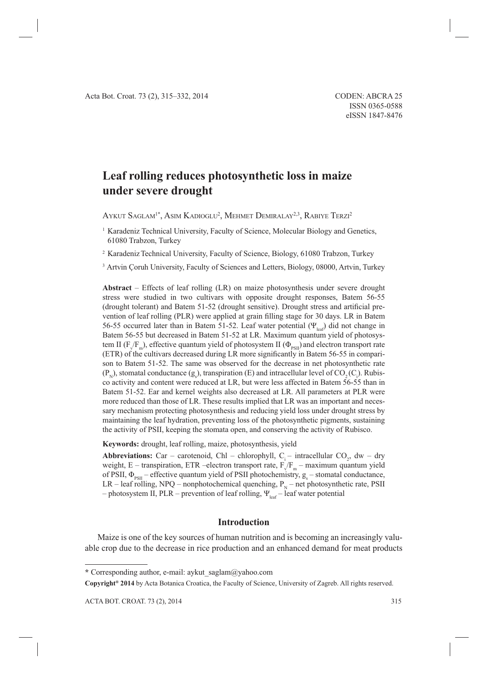# **Leaf rolling reduces photosynthetic loss in maize under severe drought**

AYKUT  $\mathsf{SAGLAM}^{1*}, \mathsf{Asim}\ \mathsf{KADIOGLU}^2, \mathsf{MEHMET}\ \mathsf{DEMIRALAY}^{2,3}, \mathsf{RABIVE}\ \mathsf{TERZI}^2$ 

<sup>1</sup> Karadeniz Technical University, Faculty of Science, Molecular Biology and Genetics, 61080 Trabzon, Turkey

<sup>2</sup> Karadeniz Technical University, Faculty of Science, Biology, 61080 Trabzon, Turkey

<sup>3</sup> Artvin Çoruh University, Faculty of Sciences and Letters, Biology, 08000, Artvin, Turkey

**Abstract** – Effects of leaf rolling (LR) on maize photosynthesis under severe drought stress were studied in two cultivars with opposite drought responses, Batem 56-55 (drought tolerant) and Batem 51-52 (drought sensitive). Drought stress and artificial prevention of leaf rolling (PLR) were applied at grain filling stage for 30 days. LR in Batem 56-55 occurred later than in Batem 51-52. Leaf water potential ( $\Psi_{\text{leaf}}$ ) did not change in Batem 56-55 but decreased in Batem 51-52 at LR. Maximum quantum yield of photosystem II ( $F_V/F_m$ ), effective quantum yield of photosystem II ( $\Phi_{PSII}$ ) and electron transport rate (ETR) of the cultivars decreased during LR more significantly in Batem 56-55 in comparison to Batem 51-52. The same was observed for the decrease in net photosynthetic rate  $(P_N)$ , stomatal conductance (g<sub>s</sub>), transpiration (E) and intracellular level of CO<sub>2</sub>(C<sub>i</sub>). Rubisco activity and content were reduced at LR, but were less affected in Batem 56-55 than in Batem 51-52. Ear and kernel weights also decreased at LR. All parameters at PLR were more reduced than those of LR. These results implied that LR was an important and necessary mechanism protecting photosynthesis and reducing yield loss under drought stress by maintaining the leaf hydration, preventing loss of the photosynthetic pigments, sustaining the activity of PSII, keeping the stomata open, and conserving the activity of Rubisco.

**Keywords:** drought, leaf rolling, maize, photosynthesis, yield

**Abbreviations:** Car – carotenoid, Chl – chlorophyll,  $C_i$  – intracellular CO<sub>2</sub>, dw – dry weight, E – transpiration, ETR –electron transport rate,  $F_{\sqrt{F_m}}$  – maximum quantum yield of PSII,  $\Phi_{PSII}$  – effective quantum yield of PSII photochemistry,  $g_s$  – stomatal conductance, LR – leaf rolling, NPQ – nonphotochemical quenching,  $P_N$  – net photosynthetic rate, PSII – photosystem II, PLR – prevention of leaf rolling,  $\Psi_{\text{loc}}$ – leaf water potential

## **Introduction**

Maize is one of the key sources of human nutrition and is becoming an increasingly valuable crop due to the decrease in rice production and an enhanced demand for meat products

**Copyright® 2014** by Acta Botanica Croatica, the Faculty of Science, University of Zagreb. All rights reserved.

**<sup>\*</sup>** Corresponding author, e-mail: aykut\_saglam@yahoo.com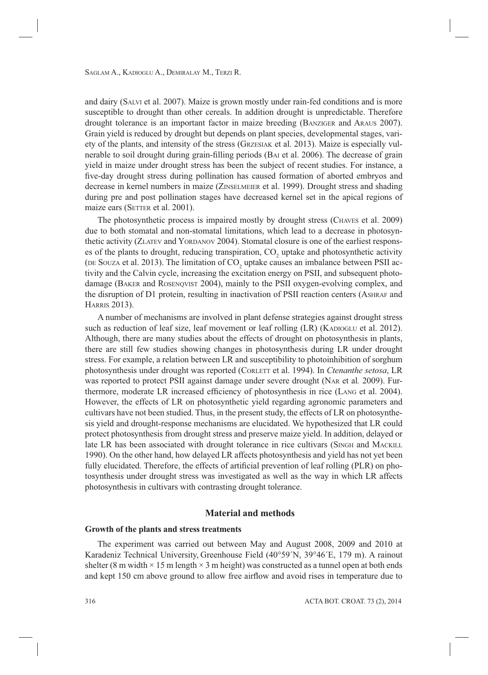and dairy (SALVI et al. 2007). Maize is grown mostly under rain-fed conditions and is more susceptible to drought than other cereals. In addition drought is unpredictable. Therefore drought tolerance is an important factor in maize breeding (BANZIGER and ARAUS 2007). Grain yield is reduced by drought but depends on plant species, developmental stages, variety of the plants, and intensity of the stress (GRZESIAK et al. 2013). Maize is especially vulnerable to soil drought during grain-filling periods (BAI et al. 2006). The decrease of grain yield in maize under drought stress has been the subject of recent studies. For instance, a five-day drought stress during pollination has caused formation of aborted embryos and decrease in kernel numbers in maize (ZINSELMEIER et al. 1999). Drought stress and shading during pre and post pollination stages have decreased kernel set in the apical regions of maize ears (SETTER et al. 2001).

The photosynthetic process is impaired mostly by drought stress (CHAVES et al. 2009) due to both stomatal and non-stomatal limitations, which lead to a decrease in photosynthetic activity (ZLATEV and YORDANOV 2004). Stomatal closure is one of the earliest responses of the plants to drought, reducing transpiration,  $CO_2$  uptake and photosynthetic activity (DE SOUZA et al. 2013). The limitation of  $CO_2$  uptake causes an imbalance between PSII activity and the Calvin cycle, increasing the excitation energy on PSII, and subsequent photodamage (BAKER and ROSENQVIST 2004), mainly to the PSII oxygen-evolving complex, and the disruption of D1 protein, resulting in inactivation of PSII reaction centers (ASHRAF and HARRIS 2013).

A number of mechanisms are involved in plant defense strategies against drought stress such as reduction of leaf size, leaf movement or leaf rolling (LR) (KADIOGLU et al. 2012). Although, there are many studies about the effects of drought on photosynthesis in plants, there are still few studies showing changes in photosynthesis during LR under drought stress. For example, a relation between LR and susceptibility to photoinhibition of sorghum photosynthesis under drought was reported (CORLETT et al. 1994). In *Ctenanthe setosa*, LR was reported to protect PSII against damage under severe drought (NAR et al*.* 2009). Furthermore, moderate LR increased efficiency of photosynthesis in rice (LANG et al. 2004). However, the effects of LR on photosynthetic yield regarding agronomic parameters and cultivars have not been studied. Thus, in the present study, the effects of LR on photosynthesis yield and drought-response mechanisms are elucidated. We hypothesized that LR could protect photosynthesis from drought stress and preserve maize yield. In addition, delayed or late LR has been associated with drought tolerance in rice cultivars (SINGH and MACKILL 1990). On the other hand, how delayed LR affects photosynthesis and yield has not yet been fully elucidated. Therefore, the effects of artificial prevention of leaf rolling (PLR) on photosynthesis under drought stress was investigated as well as the way in which LR affects photosynthesis in cultivars with contrasting drought tolerance.

# **Material and methods**

## **Growth of the plants and stress treatments**

The experiment was carried out between May and August 2008, 2009 and 2010 at Karadeniz Technical University, Greenhouse Field (40°59´N, 39°46´E, 179 m). A rainout shelter (8 m width  $\times$  15 m length  $\times$  3 m height) was constructed as a tunnel open at both ends and kept 150 cm above ground to allow free airflow and avoid rises in temperature due to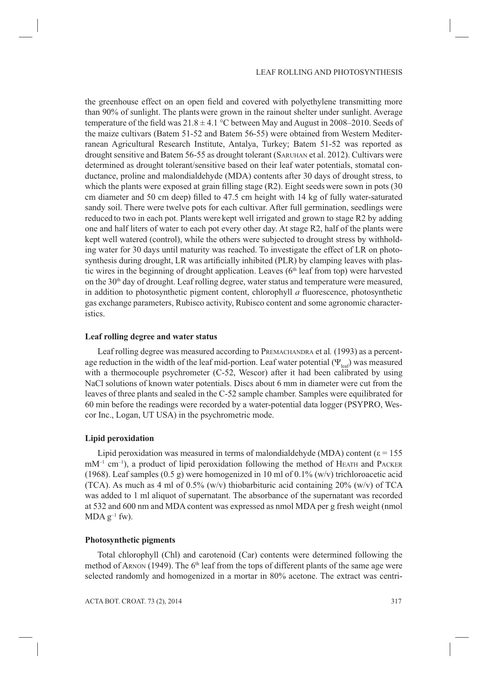the greenhouse effect on an open field and covered with polyethylene transmitting more than 90% of sunlight. The plants were grown in the rainout shelter under sunlight. Average temperature of the field was  $21.8 \pm 4.1$  °C between May and August in 2008–2010. Seeds of the maize cultivars (Batem 51-52 and Batem 56-55) were obtained from Western Mediterranean Agricultural Research Institute, Antalya, Turkey; Batem 51-52 was reported as drought sensitive and Batem 56-55 as drought tolerant (SARUHAN et al. 2012). Cultivars were determined as drought tolerant/sensitive based on their leaf water potentials, stomatal conductance, proline and malondialdehyde (MDA) contents after 30 days of drought stress, to which the plants were exposed at grain filling stage  $(R2)$ . Eight seeds were sown in pots  $(30$ cm diameter and 50 cm deep) filled to 47.5 cm height with 14 kg of fully water-saturated sandy soil. There were twelve pots for each cultivar. After full germination, seedlings were reduced to two in each pot. Plants were kept well irrigated and grown to stage R2 by adding one and half liters of water to each pot every other day. At stage R2, half of the plants were kept well watered (control), while the others were subjected to drought stress by withholding water for 30 days until maturity was reached. To investigate the effect of LR on photosynthesis during drought, LR was artificially inhibited (PLR) by clamping leaves with plastic wires in the beginning of drought application. Leaves ( $6<sup>th</sup>$  leaf from top) were harvested on the  $30<sup>th</sup>$  day of drought. Leaf rolling degree, water status and temperature were measured, in addition to photosynthetic pigment content, chlorophyll  $a$  fluorescence, photosynthetic gas exchange parameters, Rubisco activity, Rubisco content and some agronomic characteristics.

#### **Leaf rolling degree and water status**

Leaf rolling degree was measured according to PREMACHANDRA et al*.* (1993) as a percentage reduction in the width of the leaf mid-portion. Leaf water potential  $(\Psi_{\text{loc}})$  was measured with a thermocouple psychrometer (C-52, Wescor) after it had been calibrated by using NaCl solutions of known water potentials. Discs about 6 mm in diameter were cut from the leaves of three plants and sealed in the C-52 sample chamber. Samples were equilibrated for 60 min before the readings were recorded by a water-potential data logger (PSYPRO, Wescor Inc., Logan, UT USA) in the psychrometric mode.

## **Lipid peroxidation**

Lipid peroxidation was measured in terms of malondialdehyde (MDA) content ( $\varepsilon$  = 155  $mM^{-1}$  cm<sup>-1</sup>), a product of lipid peroxidation following the method of HEATH and PACKER (1968). Leaf samples (0.5 g) were homogenized in 10 ml of 0.1% (w/v) trichloroacetic acid (TCA). As much as 4 ml of 0.5% (w/v) thiobarbituric acid containing 20% (w/v) of TCA was added to 1 ml aliquot of supernatant. The absorbance of the supernatant was recorded at 532 and 600 nm and MDA content was expressed as nmol MDA per g fresh weight (nmol  $MDA g^{-1}$  fw).

#### **Photosynthetic pigments**

Total chlorophyll (Chl) and carotenoid (Car) contents were determined following the method of ARNON (1949). The 6<sup>th</sup> leaf from the tops of different plants of the same age were selected randomly and homogenized in a mortar in 80% acetone. The extract was centri-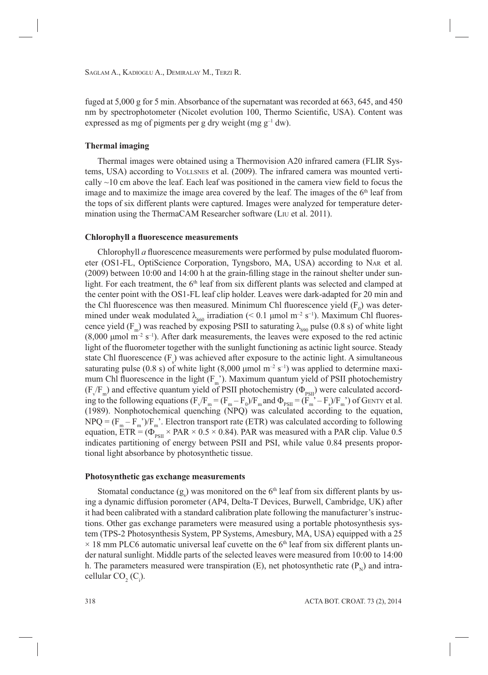fuged at 5,000 g for 5 min. Absorbance of the supernatant was recorded at 663, 645, and 450 nm by spectrophotometer (Nicolet evolution 100, Thermo Scientific, USA). Content was expressed as mg of pigments per g dry weight (mg  $g^{-1}$  dw).

# **Thermal imaging**

Thermal images were obtained using a Thermovision A20 infrared camera (FLIR Systems, USA) according to VOLLSNES et al. (2009). The infrared camera was mounted vertically  $\sim$ 10 cm above the leaf. Each leaf was positioned in the camera view field to focus the image and to maximize the image area covered by the leaf. The images of the 6th leaf from the tops of six different plants were captured. Images were analyzed for temperature determination using the ThermaCAM Researcher software (LIU et al. 2011).

# **Chlorophyll a fluorescence measurements**

Chlorophyll *a* fluorescence measurements were performed by pulse modulated fluorometer (OS1-FL, OptiScience Corporation, Tyngsboro, MA, USA) according to NAR et al. (2009) between 10:00 and 14:00 h at the grain-filling stage in the rainout shelter under sunlight. For each treatment, the  $6<sup>th</sup>$  leaf from six different plants was selected and clamped at the center point with the OS1-FL leaf clip holder. Leaves were dark-adapted for 20 min and the Chl fluorescence was then measured. Minimum Chl fluorescence yield  $(F_0)$  was determined under weak modulated  $\lambda_{660}$  irradiation (< 0.1 µmol m<sup>-2</sup> s<sup>-1</sup>). Maximum Chl fluorescence yield (F<sub>m</sub>) was reached by exposing PSII to saturating  $\lambda_{690}$  pulse (0.8 s) of white light  $(8,000 \text{ µmol m}^{-2} \text{ s}^{-1})$ . After dark measurements, the leaves were exposed to the red actinic light of the fluorometer together with the sunlight functioning as actinic light source. Steady state Chl fluorescence  $(F_s)$  was achieved after exposure to the actinic light. A simultaneous saturating pulse (0.8 s) of white light (8,000 µmol  $m^{-2}$  s<sup>-1</sup>) was applied to determine maximum Chl fluorescence in the light  $(F_m)$ . Maximum quantum yield of PSII photochemistry  $(F_v/F_m)$  and effective quantum yield of PSII photochemistry ( $\Phi_{PSII}$ ) were calculated according to the following equations  $(F_v/F_m = (F_m - F_0)/F_m$  and  $\Phi_{PSII} = (F_m' - F_s)/F_m'$ ) of GENTY et al. (1989). Nonphotochemical quenching (NPQ) was calculated according to the equation,  $NPQ = (F_m - F_m)/F_m$ . Electron transport rate (ETR) was calculated according to following equation,  $\text{ETR} = (\Phi_{PSI}^{\text{max}} \times \text{PAR} \times 0.5 \times 0.84)$ . PAR was measured with a PAR clip. Value 0.5 indicates partitioning of energy between PSII and PSI, while value 0.84 presents proportional light absorbance by photosynthetic tissue.

## **Photosynthetic gas exchange measurements**

Stomatal conductance  $(g_s)$  was monitored on the  $6<sup>th</sup>$  leaf from six different plants by using a dynamic diffusion porometer (AP4, Delta-T Devices, Burwell, Cambridge, UK) after it had been calibrated with a standard calibration plate following the manufacturer's instructions. Other gas exchange parameters were measured using a portable photosynthesis system (TPS-2 Photosynthesis System, PP Systems, Amesbury, MA, USA) equipped with a 25  $\times$  18 mm PLC6 automatic universal leaf cuvette on the 6<sup>th</sup> leaf from six different plants under natural sunlight. Middle parts of the selected leaves were measured from 10:00 to 14:00 h. The parameters measured were transpiration (E), net photosynthetic rate  $(P_N)$  and intracellular  $CO<sub>2</sub>(C<sub>i</sub>)$ .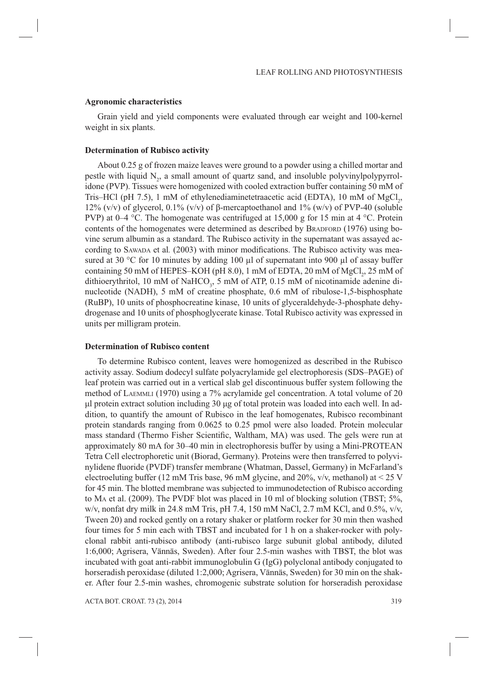#### **Agronomic characteristics**

Grain yield and yield components were evaluated through ear weight and 100-kernel weight in six plants.

### **Determination of Rubisco activity**

About 0.25 g of frozen maize leaves were ground to a powder using a chilled mortar and pestle with liquid  $N_2$ , a small amount of quartz sand, and insoluble polyvinylpolypyrrolidone (PVP). Tissues were homogenized with cooled extraction buffer containing 50 mM of Tris–HCl (pH 7.5), 1 mM of ethylenediaminetetraacetic acid (EDTA), 10 mM of  $MgCl<sub>2</sub>$ , 12% (v/v) of glycerol, 0.1% (v/v) of β-mercaptoethanol and 1% (w/v) of PVP-40 (soluble PVP) at 0–4 °C. The homogenate was centrifuged at 15,000 g for 15 min at 4 °C. Protein contents of the homogenates were determined as described by BRADFORD (1976) using bovine serum albumin as a standard. The Rubisco activity in the supernatant was assayed according to SAWADA et al. (2003) with minor modifications. The Rubisco activity was measured at 30 °C for 10 minutes by adding 100 µl of supernatant into 900 µl of assay buffer containing 50 mM of HEPES–KOH (pH 8.0), 1 mM of EDTA, 20 mM of  $MgCl<sub>2</sub>$ , 25 mM of dithioerythritol, 10 mM of NaHCO<sub>3</sub>, 5 mM of ATP, 0.15 mM of nicotinamide adenine dinucleotide (NADH), 5 mM of creatine phosphate, 0.6 mM of ribulose-1,5-bisphosphate (RuBP), 10 units of phosphocreatine kinase, 10 units of glyceraldehyde-3-phosphate dehydrogenase and 10 units of phosphoglycerate kinase. Total Rubisco activity was expressed in units per milligram protein.

## **Determination of Rubisco content**

To determine Rubisco content, leaves were homogenized as described in the Rubisco activity assay. Sodium dodecyl sulfate polyacrylamide gel electrophoresis (SDS–PAGE) of leaf protein was carried out in a vertical slab gel discontinuous buffer system following the method of LAEMMLI (1970) using a 7% acrylamide gel concentration. A total volume of 20 μl protein extract solution including 30 μg of total protein was loaded into each well. In addition, to quantify the amount of Rubisco in the leaf homogenates, Rubisco recombinant protein standards ranging from 0.0625 to 0.25 pmol were also loaded. Protein molecular mass standard (Thermo Fisher Scientific, Waltham, MA) was used. The gels were run at approximately 80 mA for 30–40 min in electrophoresis buffer by using a Mini-PROTEAN Tetra Cell electrophoretic unit (Biorad, Germany). Proteins were then transferred to polyvinylidene fluoride (PVDF) transfer membrane (Whatman, Dassel, Germany) in McFarland's electroeluting buffer (12 mM Tris base, 96 mM glycine, and 20%,  $v/v$ , methanol) at < 25 V for 45 min. The blotted membrane was subjected to immunodetection of Rubisco according to MA et al. (2009). The PVDF blot was placed in 10 ml of blocking solution (TBST; 5%, w/v, nonfat dry milk in 24.8 mM Tris, pH 7.4, 150 mM NaCl, 2.7 mM KCl, and 0.5%, v/v, Tween 20) and rocked gently on a rotary shaker or platform rocker for 30 min then washed four times for 5 min each with TBST and incubated for 1 h on a shaker-rocker with polyclonal rabbit anti-rubisco antibody (anti-rubisco large subunit global antibody, diluted 1:6,000; Agrisera, Vännäs, Sweden). After four 2.5-min washes with TBST, the blot was incubated with goat anti-rabbit immunoglobulin G (IgG) polyclonal antibody conjugated to horseradish peroxidase (diluted 1:2,000; Agrisera, Vännäs, Sweden) for 30 min on the shaker. After four 2.5-min washes, chromogenic substrate solution for horseradish peroxidase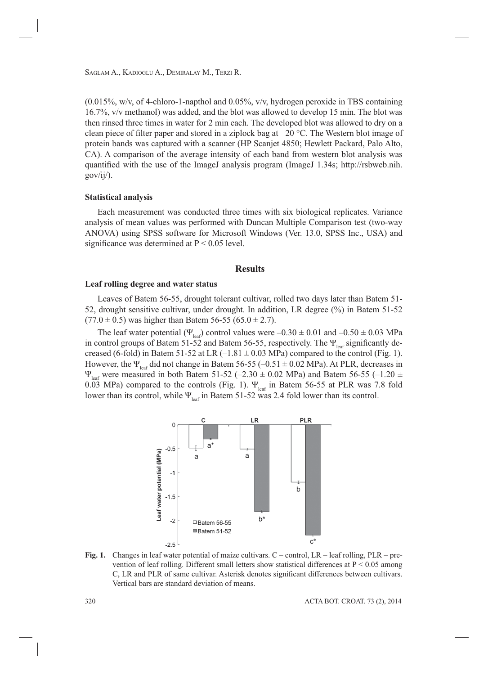$(0.015\%, w/v,$  of 4-chloro-1-napthol and  $0.05\%, v/v,$  hydrogen peroxide in TBS containing 16.7%, v/v methanol) was added, and the blot was allowed to develop 15 min. The blot was then rinsed three times in water for 2 min each. The developed blot was allowed to dry on a clean piece of filter paper and stored in a ziplock bag at −20 °C. The Western blot image of protein bands was captured with a scanner (HP Scanjet 4850; Hewlett Packard, Palo Alto, CA). A comparison of the average intensity of each band from western blot analysis was quantified with the use of the ImageJ analysis program (ImageJ 1.34s; http://rsbweb.nih.  $gov/ii$ .

## **Statistical analysis**

Each measurement was conducted three times with six biological replicates. Variance analysis of mean values was performed with Duncan Multiple Comparison test (two-way ANOVA) using SPSS software for Microsoft Windows (Ver. 13.0, SPSS Inc., USA) and significance was determined at  $P \le 0.05$  level.

## **Results**

# **Leaf rolling degree and water status**

Leaves of Batem 56-55, drought tolerant cultivar, rolled two days later than Batem 51- 52, drought sensitive cultivar, under drought. In addition, LR degree (%) in Batem 51-52  $(77.0 \pm 0.5)$  was higher than Batem 56-55 (65.0  $\pm$  2.7).

The leaf water potential ( $\Psi_{\text{leaf}}$ ) control values were  $-0.30 \pm 0.01$  and  $-0.50 \pm 0.03$  MPa in control groups of Batem 51-52 and Batem 56-55, respectively. The  $\Psi_{\text{leaf}}$  significantly decreased (6-fold) in Batem 51-52 at LR  $(-1.81 \pm 0.03 \text{ MPa})$  compared to the control (Fig. 1). However, the  $\Psi_{\text{leaf}}$  did not change in Batem 56-55 (-0.51  $\pm$  0.02 MPa). At PLR, decreases in  $\Psi_{\text{leaf}}$  were measured in both Batem 51-52 (–2.30  $\pm$  0.02 MPa) and Batem 56-55 (–1.20  $\pm$ 0.03 MPa) compared to the controls (Fig. 1).  $\Psi_{\text{leaf}}$  in Batem 56-55 at PLR was 7.8 fold lower than its control, while  $\Psi_{\text{leaf}}$  in Batem 51-52 was 2.4 fold lower than its control.



**Fig. 1.** Changes in leaf water potential of maize cultivars. C – control, LR – leaf rolling, PLR – prevention of leaf rolling. Different small letters show statistical differences at P < 0.05 among C, LR and PLR of same cultivar. Asterisk denotes significant differences between cultivars. Vertical bars are standard deviation of means.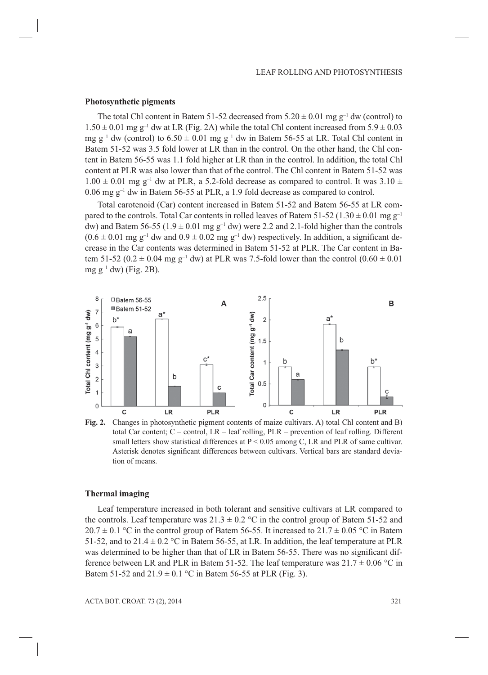#### **Photosynthetic pigments**

The total Chl content in Batem 51-52 decreased from  $5.20 \pm 0.01$  mg g<sup>-1</sup> dw (control) to  $1.50 \pm 0.01$  mg g<sup>-1</sup> dw at LR (Fig. 2A) while the total Chl content increased from  $5.9 \pm 0.03$ mg g<sup>-1</sup> dw (control) to  $6.50 \pm 0.01$  mg g<sup>-1</sup> dw in Batem 56-55 at LR. Total Chl content in Batem 51-52 was 3.5 fold lower at LR than in the control. On the other hand, the Chl content in Batem 56-55 was 1.1 fold higher at LR than in the control. In addition, the total Chl content at PLR was also lower than that of the control. The Chl content in Batem 51-52 was  $1.00 \pm 0.01$  mg g<sup>-1</sup> dw at PLR, a 5.2-fold decrease as compared to control. It was 3.10  $\pm$ 0.06 mg  $g^{-1}$  dw in Batem 56-55 at PLR, a 1.9 fold decrease as compared to control.

Total carotenoid (Car) content increased in Batem 51-52 and Batem 56-55 at LR compared to the controls. Total Car contents in rolled leaves of Batem 51-52 (1.30  $\pm$  0.01 mg g<sup>-1</sup> dw) and Batem 56-55 (1.9  $\pm$  0.01 mg g<sup>-1</sup> dw) were 2.2 and 2.1-fold higher than the controls  $(0.6 \pm 0.01 \text{ mg g}^{-1}$  dw and  $0.9 \pm 0.02 \text{ mg g}^{-1}$  dw) respectively. In addition, a significant decrease in the Car contents was determined in Batem 51-52 at PLR. The Car content in Batem 51-52 (0.2  $\pm$  0.04 mg g<sup>-1</sup> dw) at PLR was 7.5-fold lower than the control (0.60  $\pm$  0.01 mg  $g^{-1}$  dw) (Fig. 2B).



**Fig. 2.** Changes in photosynthetic pigment contents of maize cultivars. A) total Chl content and B) total Car content; C – control, LR – leaf rolling, PLR – prevention of leaf rolling. Different small letters show statistical differences at P < 0.05 among C, LR and PLR of same cultivar. Asterisk denotes significant differences between cultivars. Vertical bars are standard deviation of means.

## **Thermal imaging**

Leaf temperature increased in both tolerant and sensitive cultivars at LR compared to the controls. Leaf temperature was  $21.3 \pm 0.2$  °C in the control group of Batem 51-52 and  $20.7 \pm 0.1$  °C in the control group of Batem 56-55. It increased to 21.7  $\pm$  0.05 °C in Batem 51-52, and to 21.4  $\pm$  0.2 °C in Batem 56-55, at LR. In addition, the leaf temperature at PLR was determined to be higher than that of LR in Batem 56-55. There was no significant difference between LR and PLR in Batem 51-52. The leaf temperature was  $21.7 \pm 0.06$  °C in Batem 51-52 and  $21.9 \pm 0.1$  °C in Batem 56-55 at PLR (Fig. 3).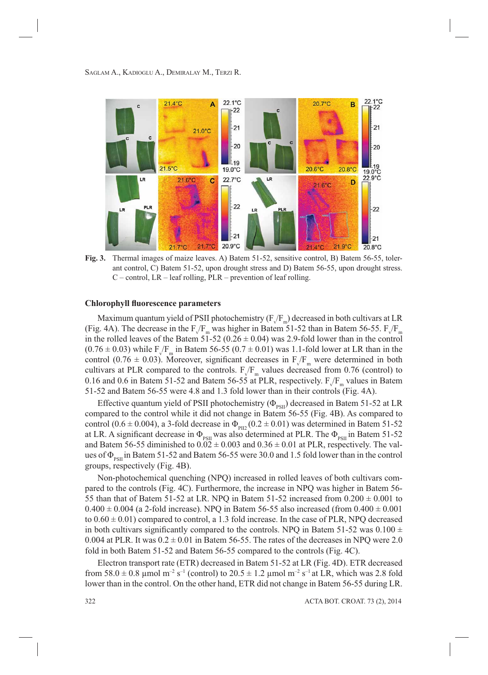

**Fig. 3.** Thermal images of maize leaves. A) Batem 51-52, sensitive control, B) Batem 56-55, tolerant control, C) Batem 51-52, upon drought stress and D) Batem 56-55, upon drought stress.  $C$  – control, LR – leaf rolling, PLR – prevention of leaf rolling.

#### **Chlorophyll fluorescence parameters**

Maximum quantum yield of PSII photochemistry  $(\mathrm{F_{\sqrt{F}\scriptscriptstyle m}})$  decreased in both cultivars at LR (Fig. 4A). The decrease in the  $F_V/F_m$  was higher in Batem 51-52 than in Batem 56-55.  $F_V/F_m$ in the rolled leaves of the Batem  $5\overline{1}$ -52 (0.26  $\pm$  0.04) was 2.9-fold lower than in the control  $(0.76 \pm 0.03)$  while F<sub>V</sub>F<sub>m</sub> in Batem 56-55 (0.7  $\pm$  0.01) was 1.1-fold lower at LR than in the control (0.76  $\pm$  0.03). Moreover, significant decreases in  $F_v/F_m$  were determined in both cultivars at PLR compared to the controls.  $F_v/F_m$  values decreased from 0.76 (control) to 0.16 and 0.6 in Batem 51-52 and Batem 56-55 at PLR, respectively.  $F_v/F_m$  values in Batem 51-52 and Batem 56-55 were 4.8 and 1.3 fold lower than in their controls (Fig. 4A).

Effective quantum yield of PSII photochemistry ( $\Phi_{\text{psn}}$ ) decreased in Batem 51-52 at LR compared to the control while it did not change in Batem 56-55 (Fig. 4B). As compared to control (0.6  $\pm$  0.004), a 3-fold decrease in  $\Phi_{PIZ}$  (0.2  $\pm$  0.01) was determined in Batem 51-52 at LR. A significant decrease in  $\Phi_{PSII}$  was also determined at PLR. The  $\Phi_{PSII}$  in Batem 51-52 and Batem 56-55 diminished to  $0.02 \pm 0.003$  and  $0.36 \pm 0.01$  at PLR, respectively. The values of  $\Phi_{\text{psu}}$  in Batem 51-52 and Batem 56-55 were 30.0 and 1.5 fold lower than in the control groups, respectively (Fig. 4B).

Non-photochemical quenching (NPQ) increased in rolled leaves of both cultivars compared to the controls (Fig. 4C). Furthermore, the increase in NPQ was higher in Batem 56- 55 than that of Batem 51-52 at LR. NPQ in Batem 51-52 increased from  $0.200 \pm 0.001$  to  $0.400 \pm 0.004$  (a 2-fold increase). NPQ in Batem 56-55 also increased (from  $0.400 \pm 0.001$ to  $0.60 \pm 0.01$ ) compared to control, a 1.3 fold increase. In the case of PLR, NPQ decreased in both cultivars significantly compared to the controls. NPQ in Batem 51-52 was 0.100  $\pm$ 0.004 at PLR. It was  $0.2 \pm 0.01$  in Batem 56-55. The rates of the decreases in NPQ were 2.0 fold in both Batem 51-52 and Batem 56-55 compared to the controls (Fig. 4C).

Electron transport rate (ETR) decreased in Batem 51-52 at LR (Fig. 4D). ETR decreased from 58.0  $\pm$  0.8 µmol m<sup>-2</sup> s<sup>-1</sup> (control) to 20.5  $\pm$  1.2 µmol m<sup>-2</sup> s<sup>-1</sup> at LR, which was 2.8 fold lower than in the control. On the other hand, ETR did not change in Batem 56-55 during LR.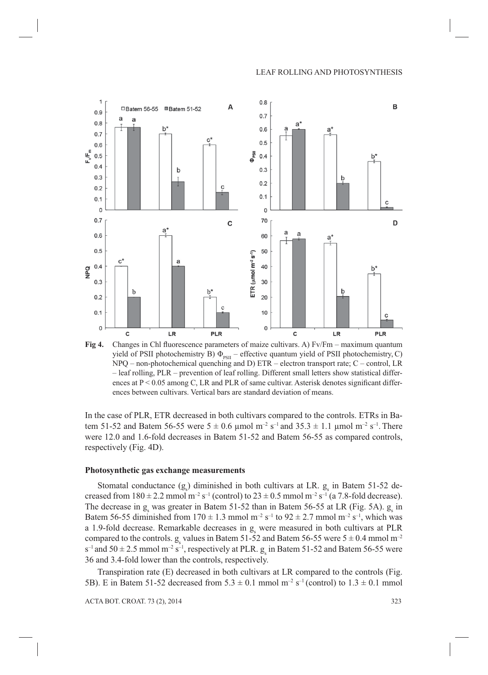

**Fig 4.** Changes in Chl fluorescence parameters of maize cultivars. A) Fv/Fm – maximum quantum yield of PSII photochemistry B)  $\Phi_{PSII}$  – effective quantum yield of PSII photochemistry, C) NPQ – non-photochemical quenching and D) ETR – electron transport rate; C – control, LR – leaf rolling, PLR – prevention of leaf rolling. Different small letters show statistical differences at  $P \le 0.05$  among C, LR and PLR of same cultivar. Asterisk denotes significant differences between cultivars. Vertical bars are standard deviation of means.

In the case of PLR, ETR decreased in both cultivars compared to the controls. ETRs in Batem 51-52 and Batem 56-55 were  $5 \pm 0.6$  µmol m<sup>-2</sup> s<sup>-1</sup> and 35.3  $\pm$  1.1 µmol m<sup>-2</sup> s<sup>-1</sup>. There were 12.0 and 1.6-fold decreases in Batem 51-52 and Batem 56-55 as compared controls, respectively (Fig. 4D).

#### **Photosynthetic gas exchange measurements**

Stomatal conductance  $(g_s)$  diminished in both cultivars at LR.  $g_s$  in Batem 51-52 decreased from  $180 \pm 2.2$  mmol m<sup>-2</sup> s<sup>-1</sup> (control) to  $23 \pm 0.5$  mmol m<sup>-2</sup> s<sup>-1</sup> (a 7.8-fold decrease). The decrease in  $g_s$  was greater in Batem 51-52 than in Batem 56-55 at LR (Fig. 5A).  $g_s$  in Batem 56-55 diminished from  $170 \pm 1.3$  mmol m<sup>-2</sup> s<sup>-1</sup> to 92  $\pm$  2.7 mmol m<sup>-2</sup> s<sup>-1</sup>, which was a 1.9-fold decrease. Remarkable decreases in  $g_s$  were measured in both cultivars at PLR compared to the controls.  $g_s$  values in Batem 51-52 and Batem 56-55 were  $5 \pm 0.4$  mmol m<sup>-2</sup>  $s^{-1}$  and  $50 \pm 2.5$  mmol m<sup>-2</sup> s<sup>-1</sup>, respectively at PLR.  $g_s$  in Batem 51-52 and Batem 56-55 were 36 and 3.4-fold lower than the controls, respectively.

Transpiration rate (E) decreased in both cultivars at LR compared to the controls (Fig. 5B). E in Batem 51-52 decreased from  $5.3 \pm 0.1$  mmol m<sup>-2</sup> s<sup>-1</sup> (control) to  $1.3 \pm 0.1$  mmol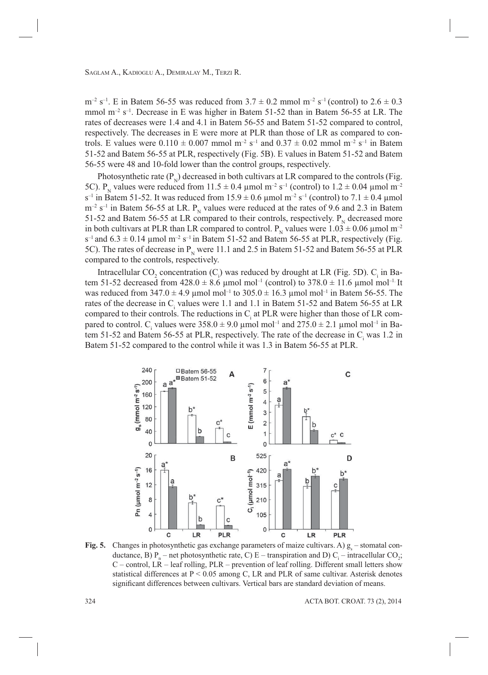$m^{-2}$  s<sup>-1</sup>. E in Batem 56-55 was reduced from  $3.7 \pm 0.2$  mmol  $m^{-2}$  s<sup>-1</sup> (control) to 2.6  $\pm$  0.3 mmol  $m^{-2}$  s<sup>-1</sup>. Decrease in E was higher in Batem 51-52 than in Batem 56-55 at LR. The rates of decreases were 1.4 and 4.1 in Batem 56-55 and Batem 51-52 compared to control, respectively. The decreases in E were more at PLR than those of LR as compared to controls. E values were  $0.110 \pm 0.007$  mmol m<sup>-2</sup> s<sup>-1</sup> and  $0.37 \pm 0.02$  mmol m<sup>-2</sup> s<sup>-1</sup> in Batem 51-52 and Batem 56-55 at PLR, respectively (Fig. 5B). E values in Batem 51-52 and Batem 56-55 were 48 and 10-fold lower than the control groups, respectively.

Photosynthetic rate  $(P_N)$  decreased in both cultivars at LR compared to the controls (Fig. 5C). P<sub>N</sub> values were reduced from  $11.5 \pm 0.4$  µmol m<sup>-2</sup> s<sup>-1</sup> (control) to  $1.2 \pm 0.04$  µmol m<sup>-2</sup>  $s^{-1}$  in Batem 51-52. It was reduced from  $15.9 \pm 0.6$  µmol  $m^{-2}$  s<sup>-1</sup> (control) to 7.1  $\pm$  0.4 µmol  $m^{-2}$  s<sup>-1</sup> in Batem 56-55 at LR. P<sub>N</sub> values were reduced at the rates of 9.6 and 2.3 in Batem 51-52 and Batem 56-55 at LR compared to their controls, respectively.  $P<sub>N</sub>$  decreased more in both cultivars at PLR than LR compared to control. P<sub>N</sub> values were  $1.03 \pm 0.06$  µmol m<sup>-2</sup>  $s^{-1}$  and 6.3  $\pm$  0.14 µmol m<sup>-2</sup> s<sup>-1</sup> in Batem 51-52 and Batem 56-55 at PLR, respectively (Fig. 5C). The rates of decrease in  $P_N$  were 11.1 and 2.5 in Batem 51-52 and Batem 56-55 at PLR compared to the controls, respectively.

Intracellular CO<sub>2</sub> concentration (C<sub>i</sub>) was reduced by drought at LR (Fig. 5D). C<sub>i</sub> in Batem 51-52 decreased from  $428.0 \pm 8.6$  µmol mol<sup>-1</sup> (control) to  $378.0 \pm 11.6$  µmol mol<sup>-1</sup> It was reduced from  $347.0 \pm 4.9$  µmol mol<sup>-1</sup> to  $305.0 \pm 16.3$  µmol mol<sup>-1</sup> in Batem 56-55. The rates of the decrease in  $C<sub>i</sub>$  values were 1.1 and 1.1 in Batem 51-52 and Batem 56-55 at LR compared to their controls. The reductions in  $C_i$  at PLR were higher than those of LR compared to control. C<sub>i</sub> values were  $358.0 \pm 9.0$  µmol mol<sup>-1</sup> and  $275.0 \pm 2.1$  µmol mol<sup>-1</sup> in Batem 51-52 and Batem 56-55 at PLR, respectively. The rate of the decrease in  $C_i$  was 1.2 in Batem 51-52 compared to the control while it was 1.3 in Batem 56-55 at PLR.



**Fig. 5.** Changes in photosynthetic gas exchange parameters of maize cultivars. A)  $g_s$  – stomatal conductance, B)  $P_n$  – net photosynthetic rate, C) E – transpiration and D) C<sub>i</sub> – intracellular CO<sub>2</sub>; C – control, LR – leaf rolling, PLR – prevention of leaf rolling. Different small letters show statistical differences at P < 0.05 among C, LR and PLR of same cultivar. Asterisk denotes significant differences between cultivars. Vertical bars are standard deviation of means.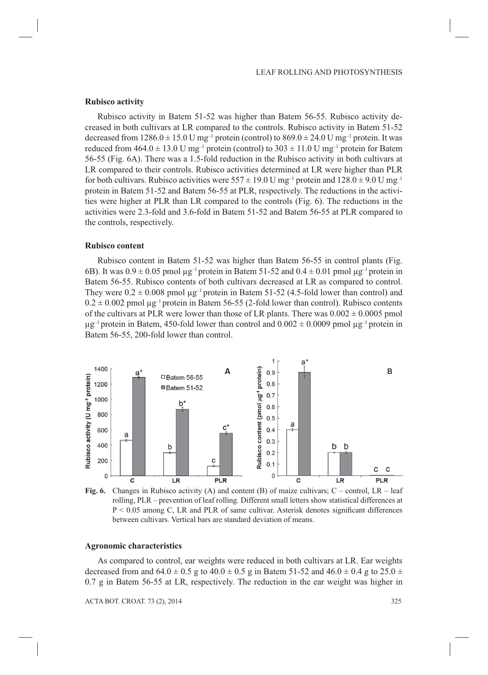#### **Rubisco activity**

Rubisco activity in Batem 51-52 was higher than Batem 56-55. Rubisco activity decreased in both cultivars at LR compared to the controls. Rubisco activity in Batem 51-52 decreased from  $1286.0 \pm 15.0$  U mg<sup>-1</sup> protein (control) to  $869.0 \pm 24.0$  U mg<sup>-1</sup> protein. It was reduced from  $464.0 \pm 13.0 \text{ U mg}^{-1}$  protein (control) to  $303 \pm 11.0 \text{ U mg}^{-1}$  protein for Batem 56-55 (Fig. 6A). There was a 1.5-fold reduction in the Rubisco activity in both cultivars at LR compared to their controls. Rubisco activities determined at LR were higher than PLR for both cultivars. Rubisco activities were  $557 \pm 19.0$  U mg<sup>-1</sup> protein and  $128.0 \pm 9.0$  U mg<sup>-1</sup> protein in Batem 51-52 and Batem 56-55 at PLR, respectively. The reductions in the activities were higher at PLR than LR compared to the controls (Fig. 6). The reductions in the activities were 2.3-fold and 3.6-fold in Batem 51-52 and Batem 56-55 at PLR compared to the controls, respectively.

#### **Rubisco content**

Rubisco content in Batem 51-52 was higher than Batem 56-55 in control plants (Fig. 6B). It was  $0.9 \pm 0.05$  pmol  $\mu$ g<sup>-1</sup> protein in Batem 51-52 and  $0.4 \pm 0.01$  pmol  $\mu$ g<sup>-1</sup> protein in Batem 56-55. Rubisco contents of both cultivars decreased at LR as compared to control. They were  $0.2 \pm 0.008$  pmol  $\mu$ g<sup>-1</sup> protein in Batem 51-52 (4.5-fold lower than control) and  $0.2 \pm 0.002$  pmol  $\mu$ g<sup>-1</sup> protein in Batem 56-55 (2-fold lower than control). Rubisco contents of the cultivars at PLR were lower than those of LR plants. There was  $0.002 \pm 0.0005$  pmol  $\mu$ g<sup>-1</sup> protein in Batem, 450-fold lower than control and 0.002  $\pm$  0.0009 pmol  $\mu$ g<sup>-1</sup> protein in Batem 56-55, 200-fold lower than control.



**Fig. 6.** Changes in Rubisco activity (A) and content (B) of maize cultivars; C – control, LR – leaf rolling, PLR – prevention of leaf rolling. Different small letters show statistical differences at  $P < 0.05$  among C, LR and PLR of same cultivar. Asterisk denotes significant differences between cultivars. Vertical bars are standard deviation of means.

## **Agronomic characteristics**

As compared to control, ear weights were reduced in both cultivars at LR. Ear weights decreased from and  $64.0 \pm 0.5$  g to  $40.0 \pm 0.5$  g in Batem 51-52 and  $46.0 \pm 0.4$  g to  $25.0 \pm 0.4$ 0.7 g in Batem 56-55 at LR, respectively. The reduction in the ear weight was higher in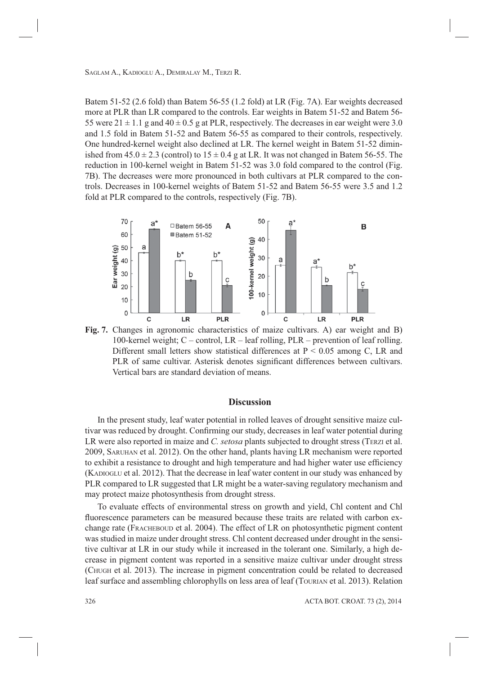Batem 51-52 (2.6 fold) than Batem 56-55 (1.2 fold) at LR (Fig. 7A). Ear weights decreased more at PLR than LR compared to the controls. Ear weights in Batem 51-52 and Batem 56- 55 were  $21 \pm 1.1$  g and  $40 \pm 0.5$  g at PLR, respectively. The decreases in ear weight were 3.0 and 1.5 fold in Batem 51-52 and Batem 56-55 as compared to their controls, respectively. One hundred-kernel weight also declined at LR. The kernel weight in Batem 51-52 diminished from  $45.0 \pm 2.3$  (control) to  $15 \pm 0.4$  g at LR. It was not changed in Batem 56-55. The reduction in 100-kernel weight in Batem 51-52 was 3.0 fold compared to the control (Fig. 7B). The decreases were more pronounced in both cultivars at PLR compared to the controls. Decreases in 100-kernel weights of Batem 51-52 and Batem 56-55 were 3.5 and 1.2 fold at PLR compared to the controls, respectively (Fig. 7B).



**Fig. 7.** Changes in agronomic characteristics of maize cultivars. A) ear weight and B) 100-kernel weight; C – control, LR – leaf rolling, PLR – prevention of leaf rolling. Different small letters show statistical differences at  $P \le 0.05$  among C, LR and PLR of same cultivar. Asterisk denotes significant differences between cultivars. Vertical bars are standard deviation of means.

# **Discussion**

In the present study, leaf water potential in rolled leaves of drought sensitive maize cultivar was reduced by drought. Confirming our study, decreases in leaf water potential during LR were also reported in maize and *C. setosa* plants subjected to drought stress (TERZI et al. 2009, SARUHAN et al. 2012). On the other hand, plants having LR mechanism were reported to exhibit a resistance to drought and high temperature and had higher water use efficiency (KADIOGLU et al. 2012). That the decrease in leaf water content in our study was enhanced by PLR compared to LR suggested that LR might be a water-saving regulatory mechanism and may protect maize photosynthesis from drought stress.

To evaluate effects of environmental stress on growth and yield, Chl content and Chl fluorescence parameters can be measured because these traits are related with carbon exchange rate (FRACHEBOUD et al. 2004). The effect of LR on photosynthetic pigment content was studied in maize under drought stress. Chl content decreased under drought in the sensitive cultivar at LR in our study while it increased in the tolerant one. Similarly, a high decrease in pigment content was reported in a sensitive maize cultivar under drought stress (CHUGH et al. 2013). The increase in pigment concentration could be related to decreased leaf surface and assembling chlorophylls on less area of leaf (TOURIAN et al. 2013). Relation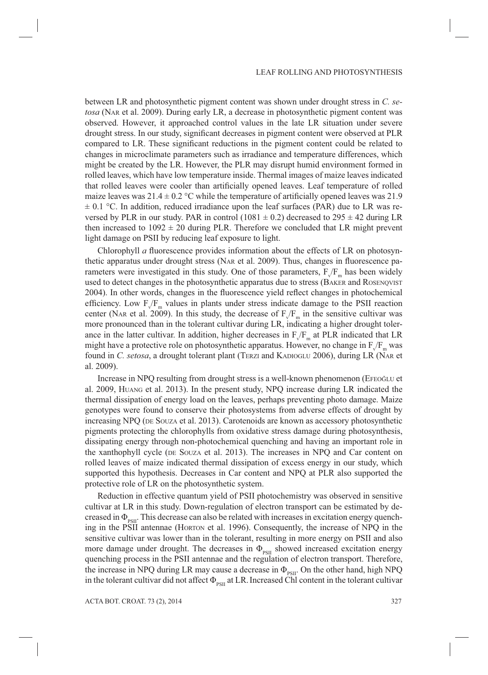between LR and photosynthetic pigment content was shown under drought stress in *C. setosa* (NAR et al. 2009). During early LR, a decrease in photosynthetic pigment content was observed. However, it approached control values in the late LR situation under severe drought stress. In our study, significant decreases in pigment content were observed at PLR compared to LR. These significant reductions in the pigment content could be related to changes in microclimate parameters such as irradiance and temperature differences, which might be created by the LR. However, the PLR may disrupt humid environment formed in rolled leaves, which have low temperature inside. Thermal images of maize leaves indicated that rolled leaves were cooler than artificially opened leaves. Leaf temperature of rolled maize leaves was  $21.4 \pm 0.2$  °C while the temperature of artificially opened leaves was 21.9  $\pm$  0.1 °C. In addition, reduced irradiance upon the leaf surfaces (PAR) due to LR was reversed by PLR in our study. PAR in control (1081  $\pm$  0.2) decreased to 295  $\pm$  42 during LR then increased to  $1092 \pm 20$  during PLR. Therefore we concluded that LR might prevent light damage on PSII by reducing leaf exposure to light.

Chlorophyll  $a$  fluorescence provides information about the effects of LR on photosynthetic apparatus under drought stress (NAR et al. 2009). Thus, changes in fluorescence parameters were investigated in this study. One of those parameters,  $F_V/F_m$  has been widely used to detect changes in the photosynthetic apparatus due to stress (BAKER and ROSENQVIST 2004). In other words, changes in the fluorescence yield reflect changes in photochemical efficiency. Low  $F_v/F_m$  values in plants under stress indicate damage to the PSII reaction center (NAR et al. 2009). In this study, the decrease of  $F_V/F_m$  in the sensitive cultivar was more pronounced than in the tolerant cultivar during LR, indicating a higher drought tolerance in the latter cultivar. In addition, higher decreases in  $F_V/F_m$  at PLR indicated that LR might have a protective role on photosynthetic apparatus. However, no change in  $F_v/F_m$  was found in *C. setosa*, a drought tolerant plant (TERZI and KADIOGLU 2006), during LR (NAR et al. 2009).

Increase in NPQ resulting from drought stress is a well-known phenomenon (EFEOĞLU et al. 2009, HUANG et al. 2013). In the present study, NPQ increase during LR indicated the thermal dissipation of energy load on the leaves, perhaps preventing photo damage. Maize genotypes were found to conserve their photosystems from adverse effects of drought by increasing NPQ (DE SOUZA et al. 2013). Carotenoids are known as accessory photosynthetic pigments protecting the chlorophylls from oxidative stress damage during photosynthesis, dissipating energy through non-photochemical quenching and having an important role in the xanthophyll cycle (DE SOUZA et al. 2013). The increases in NPQ and Car content on rolled leaves of maize indicated thermal dissipation of excess energy in our study, which supported this hypothesis. Decreases in Car content and NPQ at PLR also supported the protective role of LR on the photosynthetic system.

Reduction in effective quantum yield of PSII photochemistry was observed in sensitive cultivar at LR in this study. Down-regulation of electron transport can be estimated by decreased in  $\Phi_{\text{per}}$ . This decrease can also be related with increases in excitation energy quenching in the PSII antennae (HORTON et al. 1996). Consequently, the increase of NPQ in the sensitive cultivar was lower than in the tolerant, resulting in more energy on PSII and also more damage under drought. The decreases in  $\Phi_{\text{psII}}$  showed increased excitation energy quenching process in the PSII antennae and the regulation of electron transport. Therefore, the increase in NPQ during LR may cause a decrease in  $\Phi_{PSII}$ . On the other hand, high NPQ in the tolerant cultivar did not affect  $\Phi_{\text{per}}$  at LR. Increased Chl content in the tolerant cultivar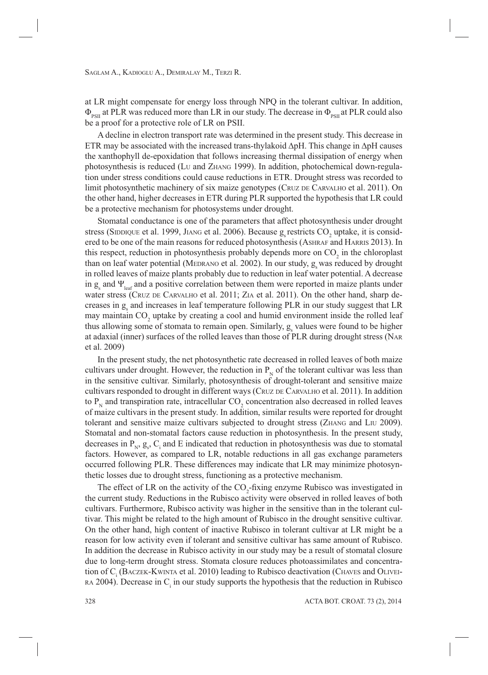at LR might compensate for energy loss through NPQ in the tolerant cultivar. In addition,  $\Phi_{PSII}$  at PLR was reduced more than LR in our study. The decrease in  $\Phi_{PSII}$  at PLR could also be a proof for a protective role of LR on PSII.

A decline in electron transport rate was determined in the present study. This decrease in ETR may be associated with the increased trans-thylakoid ∆pH. This change in ∆pH causes the xanthophyll de-epoxidation that follows increasing thermal dissipation of energy when photosynthesis is reduced (LU and ZHANG 1999). In addition, photochemical down-regulation under stress conditions could cause reductions in ETR. Drought stress was recorded to limit photosynthetic machinery of six maize genotypes (CRUZ DE CARVALHO et al. 2011). On the other hand, higher decreases in ETR during PLR supported the hypothesis that LR could be a protective mechanism for photosystems under drought.

Stomatal conductance is one of the parameters that affect photosynthesis under drought stress (SIDDIQUE et al. 1999, JIANG et al. 2006). Because  $g_s$  restricts  $\mathrm{CO}_2$  uptake, it is considered to be one of the main reasons for reduced photosynthesis (ASHRAF and HARRIS 2013). In this respect, reduction in photosynthesis probably depends more on  $CO<sub>2</sub>$  in the chloroplast than on leaf water potential (MEDRANO et al. 2002). In our study,  $g_s$  was reduced by drought in rolled leaves of maize plants probably due to reduction in leaf water potential. A decrease in  $g_s$  and  $\Psi_{\text{leaf}}$  and a positive correlation between them were reported in maize plants under water stress (CRUZ DE CARVALHO et al. 2011; ZIA et al. 2011). On the other hand, sharp decreases in  $g_s$  and increases in leaf temperature following PLR in our study suggest that LR may maintain  $CO_2$  uptake by creating a cool and humid environment inside the rolled leaf thus allowing some of stomata to remain open. Similarly,  $g_s$  values were found to be higher at adaxial (inner) surfaces of the rolled leaves than those of PLR during drought stress (NAR et al. 2009)

In the present study, the net photosynthetic rate decreased in rolled leaves of both maize cultivars under drought. However, the reduction in  $P_N$  of the tolerant cultivar was less than in the sensitive cultivar. Similarly, photosynthesis of drought-tolerant and sensitive maize cultivars responded to drought in different ways (CRUZ DE CARVALHO et al. 2011). In addition to  $P_N$  and transpiration rate, intracellular  $CO_2$  concentration also decreased in rolled leaves of maize cultivars in the present study. In addition, similar results were reported for drought tolerant and sensitive maize cultivars subjected to drought stress (ZHANG and LIU 2009). Stomatal and non-stomatal factors cause reduction in photosynthesis. In the present study, decreases in  $P_N$ ,  $g_s$ ,  $C_i$  and E indicated that reduction in photosynthesis was due to stomatal factors. However, as compared to LR, notable reductions in all gas exchange parameters occurred following PLR. These differences may indicate that LR may minimize photosynthetic losses due to drought stress, functioning as a protective mechanism.

The effect of LR on the activity of the  $CO_2$ -fixing enzyme Rubisco was investigated in the current study. Reductions in the Rubisco activity were observed in rolled leaves of both cultivars. Furthermore, Rubisco activity was higher in the sensitive than in the tolerant cultivar. This might be related to the high amount of Rubisco in the drought sensitive cultivar. On the other hand, high content of inactive Rubisco in tolerant cultivar at LR might be a reason for low activity even if tolerant and sensitive cultivar has same amount of Rubisco. In addition the decrease in Rubisco activity in our study may be a result of stomatal closure due to long-term drought stress. Stomata closure reduces photoassimilates and concentration of C<sub>i</sub> (BACZEK-KWINTA et al. 2010) leading to Rubisco deactivation (CHAVES and OLIVEI- $RA$  2004). Decrease in  $C_i$  in our study supports the hypothesis that the reduction in Rubisco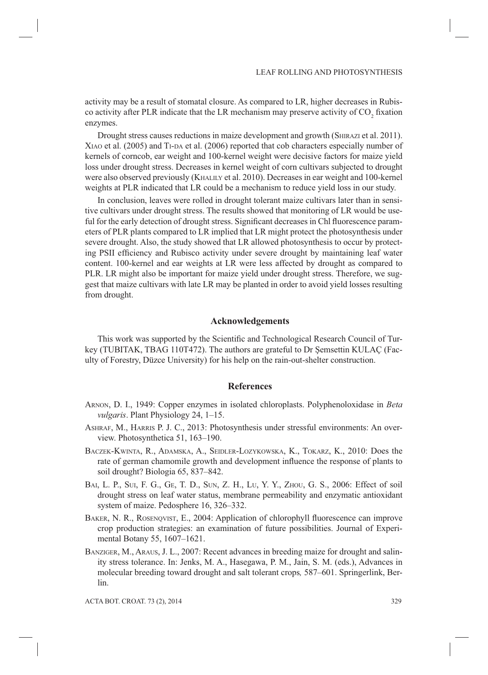activity may be a result of stomatal closure. As compared to LR, higher decreases in Rubisco activity after PLR indicate that the LR mechanism may preserve activity of  $CO_2$  fixation enzymes.

Drought stress causes reductions in maize development and growth (SHIRAZI et al. 2011). XIAO et al. (2005) and TI-DA et al. (2006) reported that cob characters especially number of kernels of corncob, ear weight and 100-kernel weight were decisive factors for maize yield loss under drought stress. Decreases in kernel weight of corn cultivars subjected to drought were also observed previously (KHALILY et al. 2010). Decreases in ear weight and 100-kernel weights at PLR indicated that LR could be a mechanism to reduce yield loss in our study.

In conclusion, leaves were rolled in drought tolerant maize cultivars later than in sensitive cultivars under drought stress. The results showed that monitoring of LR would be useful for the early detection of drought stress. Significant decreases in Chl fluorescence parameters of PLR plants compared to LR implied that LR might protect the photosynthesis under severe drought. Also, the study showed that LR allowed photosynthesis to occur by protecting PSII efficiency and Rubisco activity under severe drought by maintaining leaf water content. 100-kernel and ear weights at LR were less affected by drought as compared to PLR. LR might also be important for maize yield under drought stress. Therefore, we suggest that maize cultivars with late LR may be planted in order to avoid yield losses resulting from drought.

## **Acknowledgements**

This work was supported by the Scientific and Technological Research Council of Turkey (TUBITAK, TBAG 110T472). The authors are grateful to Dr Şemsettin KULAÇ (Faculty of Forestry, Düzce University) for his help on the rain-out-shelter construction.

## **References**

- ARNON, D. I., 1949: Copper enzymes in isolated chloroplasts. Polyphenoloxidase in *Beta vulgaris*. Plant Physiology 24, 1–15.
- ASHRAF, M., HARRIS P. J. C., 2013: Photosynthesis under stressful environments: An overview. Photosynthetica 51, 163–190.
- BACZEK-KWINTA, R., ADAMSKA, A., SEIDLER-LOZYKOWSKA, K., TOKARZ, K., 2010: Does the rate of german chamomile growth and development influence the response of plants to soil drought? Biologia 65, 837–842.
- BAI, L. P., SUI, F. G., GE, T. D., SUN, Z. H., LU, Y. Y., ZHOU, G. S., 2006: Effect of soil drought stress on leaf water status, membrane permeability and enzymatic antioxidant system of maize. Pedosphere 16, 326–332.
- BAKER, N. R., ROSENQVIST, E., 2004: Application of chlorophyll fluorescence can improve crop production strategies: an examination of future possibilities. Journal of Experimental Botany 55, 1607–1621.
- BANZIGER, M., ARAUS, J. L., 2007: Recent advances in breeding maize for drought and salinity stress tolerance. In: Jenks, M. A., Hasegawa, P. M., Jain, S. M. (eds.), Advances in molecular breeding toward drought and salt tolerant crops*,* 587–601. Springerlink, Berlin.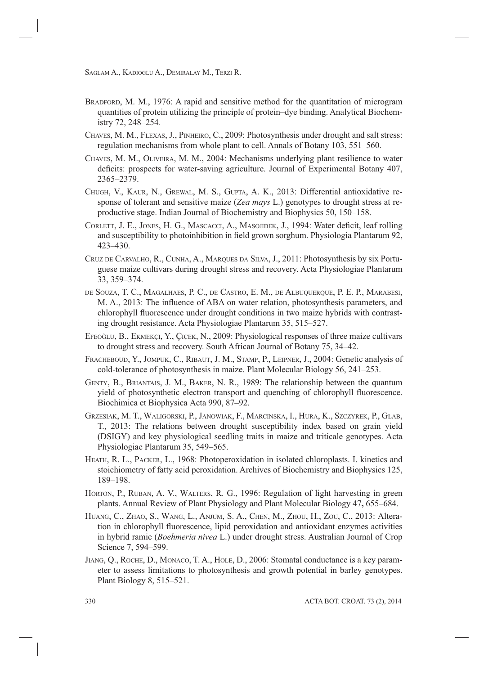- BRADFORD, M. M., 1976: A rapid and sensitive method for the quantitation of microgram quantities of protein utilizing the principle of protein–dye binding. Analytical Biochemistry 72, 248–254.
- CHAVES, M. M., FLEXAS, J., PINHEIRO, C., 2009: Photosynthesis under drought and salt stress: regulation mechanisms from whole plant to cell. Annals of Botany 103, 551–560.
- CHAVES, M. M., OLIVEIRA, M. M., 2004: Mechanisms underlying plant resilience to water deficits: prospects for water-saving agriculture. Journal of Experimental Botany 407, 2365–2379.
- CHUGH, V., KAUR, N., GREWAL, M. S., GUPTA, A. K., 2013: Differential antioxidative response of tolerant and sensitive maize (*Zea mays* L.) genotypes to drought stress at reproductive stage. Indian Journal of Biochemistry and Biophysics 50, 150–158.
- CORLETT, J. E., JONES, H. G., MASCACCI, A., MASOJIDEK, J., 1994: Water deficit, leaf rolling and susceptibility to photoinhibition in field grown sorghum. Physiologia Plantarum 92, 423–430.
- CRUZ DE CARVALHO, R., CUNHA, A., MARQUES DA SILVA, J., 2011: Photosynthesis by six Portuguese maize cultivars during drought stress and recovery. Acta Physiologiae Plantarum 33, 359–374.
- DE SOUZA, T. C., MAGALHAES, P. C., DE CASTRO, E. M., DE ALBUQUERQUE, P. E. P., MARABESI, M. A., 2013: The influence of ABA on water relation, photosynthesis parameters, and chlorophyll fluorescence under drought conditions in two maize hybrids with contrasting drought resistance. Acta Physiologiae Plantarum 35, 515–527.
- EFEOĞLU, B., EKMEKÇI, Y., ÇIÇEK, N., 2009: Physiological responses of three maize cultivars to drought stress and recovery. South African Journal of Botany 75, 34–42.
- FRACHEBOUD, Y., JOMPUK, C., RIBAUT, J. M., STAMP, P., LEIPNER, J., 2004: Genetic analysis of cold-tolerance of photosynthesis in maize. Plant Molecular Biology 56, 241–253.
- GENTY, B., BRIANTAIS, J. M., BAKER, N. R., 1989: The relationship between the quantum yield of photosynthetic electron transport and quenching of chlorophyll fluorescence. Biochimica et Biophysica Acta 990, 87–92.
- GRZESIAK, M. T., WALIGORSKI, P., JANOWIAK, F., MARCINSKA, I., HURA, K., SZCZYREK, P., GŁAB, T., 2013: The relations between drought susceptibility index based on grain yield (DSIGY) and key physiological seedling traits in maize and triticale genotypes. Acta Physiologiae Plantarum 35, 549–565.
- HEATH, R. L., PACKER, L., 1968: Photoperoxidation in isolated chloroplasts. I. kinetics and stoichiometry of fatty acid peroxidation. Archives of Biochemistry and Biophysics 125, 189–198.
- HORTON, P., RUBAN, A. V., WALTERS, R. G., 1996: Regulation of light harvesting in green plants. Annual Review of Plant Physiology and Plant Molecular Biology 47**,** 655–684.
- HUANG, C., ZHAO, S., WANG, L., ANJUM, S. A., CHEN, M., ZHOU, H., ZOU, C., 2013: Alteration in chlorophyll fluorescence, lipid peroxidation and antioxidant enzymes activities in hybrid ramie (*Boehmeria nivea* L.) under drought stress. Australian Journal of Crop Science 7, 594–599.
- JIANG, Q., ROCHE, D., MONACO, T. A., HOLE, D., 2006: Stomatal conductance is a key parameter to assess limitations to photosynthesis and growth potential in barley genotypes. Plant Biology 8, 515–521.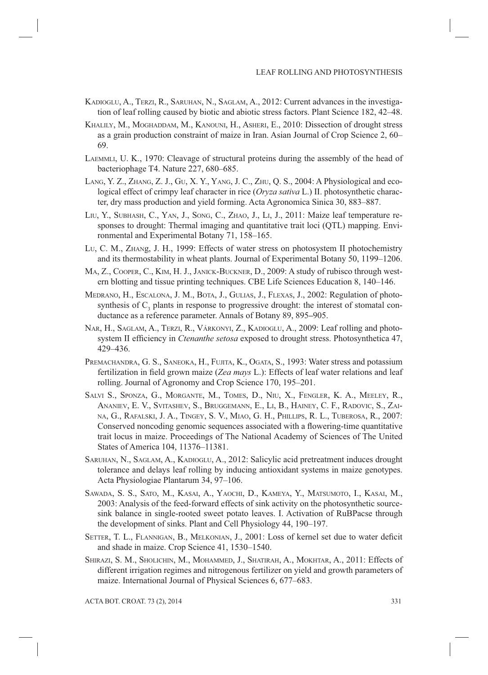- KADIOGLU, A., TERZI, R., SARUHAN, N., SAGLAM, A., 2012: Current advances in the investigation of leaf rolling caused by biotic and abiotic stress factors. Plant Science 182, 42–48.
- KHALILY, M., MOGHADDAM, M., KANOUNI, H., ASHERI, E., 2010: Dissection of drought stress as a grain production constraint of maize in Iran. Asian Journal of Crop Science 2, 60– 69.
- LAEMMLI, U. K., 1970: Cleavage of structural proteins during the assembly of the head of bacteriophage T4. Nature 227, 680–685.
- LANG, Y. Z., ZHANG, Z. J., GU, X. Y., YANG, J. C., ZHU, Q. S., 2004: A Physiological and ecological effect of crimpy leaf character in rice (*Oryza sativa* L.) II. photosynthetic character, dry mass production and yield forming. Acta Agronomica Sinica 30, 883–887.
- LIU, Y., SUBHASH, C., YAN, J., SONG, C., ZHAO, J., LI, J., 2011: Maize leaf temperature responses to drought: Thermal imaging and quantitative trait loci (QTL) mapping. Environmental and Experimental Botany 71, 158–165.
- LU, C. M., ZHANg, J. H., 1999: Effects of water stress on photosystem II photochemistry and its thermostability in wheat plants. Journal of Experimental Botany 50, 1199–1206.
- MA, Z., COOPER, C., KIM, H. J., JANICK-BUCKNER, D., 2009: A study of rubisco through western blotting and tissue printing techniques. CBE Life Sciences Education 8, 140–146.
- MEDRANO, H., ESCALONA, J. M., BOTA, J., GULIAS, J., FLEXAS, J., 2002: Regulation of photosynthesis of  $C_3$  plants in response to progressive drought: the interest of stomatal conductance as a reference parameter. Annals of Botany 89, 895**–**905.
- NAR, H., SAGLAM, A., TERZI, R., VÁRKONYI, Z., KADIOGLU, A., 2009: Leaf rolling and photosystem II efficiency in *Ctenanthe setosa* exposed to drought stress. Photosynthetica 47, 429–436.
- PREMACHANDRA, G. S., SANEOKA, H., FUJITA, K., OGATA, S., 1993: Water stress and potassium fertilization in field grown maize (*Zea mays L.*): Effects of leaf water relations and leaf rolling. Journal of Agronomy and Crop Science 170, 195–201.
- SALVI S., SPONZA, G., MORGANTE, M., TOMES, D., NIU, X., FENGLER, K. A., MEELEY, R., ANANIEV, E. V., SVITASHEV, S., BRUGGEMANN, E., LI, B., HAINEY, C. F., RADOVIC, S., ZAI-NA, G., RAFALSKI, J. A., TINGEY, S. V., MIAO, G. H., PHILLIPS, R. L., TUBEROSA, R., 2007: Conserved noncoding genomic sequences associated with a flowering-time quantitative trait locus in maize. Proceedings of The National Academy of Sciences of The United States of America 104, 11376–11381.
- SARUHAN, N., SAGLAM, A., KADIOGLU, A., 2012: Salicylic acid pretreatment induces drought tolerance and delays leaf rolling by inducing antioxidant systems in maize genotypes. Acta Physiologiae Plantarum 34, 97–106.
- SAWADA, S. S., SATO, M., KASAI, A., YAOCHI, D., KAMEYA, Y., MATSUMOTO, I., KASAI, M., 2003: Analysis of the feed-forward effects of sink activity on the photosynthetic sourcesink balance in single-rooted sweet potato leaves. I. Activation of RuBPacse through the development of sinks. Plant and Cell Physiology 44, 190–197.
- SETTER, T. L., FLANNIGAN, B., MELKONIAN, J., 2001: Loss of kernel set due to water deficit and shade in maize. Crop Science 41, 1530–1540.
- SHIRAZI, S. M., SHOLICHIN, M., MOHAMMED, J., SHATIRAH, A., MOKHTAR, A., 2011: Effects of different irrigation regimes and nitrogenous fertilizer on yield and growth parameters of maize. International Journal of Physical Sciences 6, 677–683.